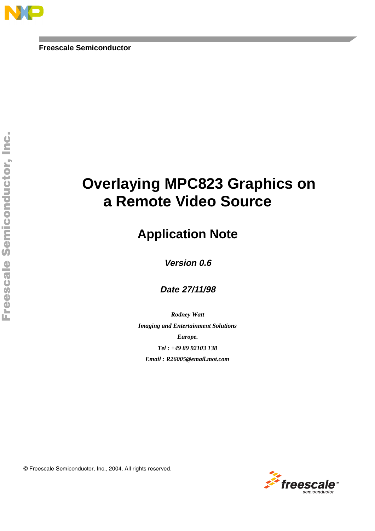# **Overlaying MPC823 Graphics on a Remote Video Source**

## **Application Note**

**Version 0.6**

**Date 27/11/98**

*Rodney Watt Imaging and Entertainment Solutions Europe. Tel : +49 89 92103 138 Email : R26005@email.mot.com*

© Freescale Se m iconductor , I nc. , 2004. Al l r ights reser ved.

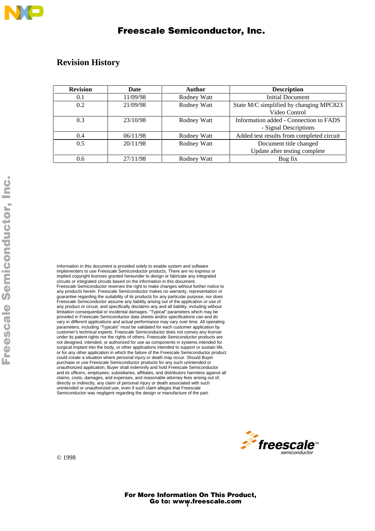### **Revision History**

| <b>Revision</b> | Date     | Author      | <b>Description</b>                        |
|-----------------|----------|-------------|-------------------------------------------|
| 0.1             | 11/09/98 | Rodney Watt | <b>Initial Document</b>                   |
| 0.2             | 21/09/98 | Rodney Watt | State M/C simplified by changing MPC823   |
|                 |          |             | Video Control                             |
| 0.3             | 23/10/98 | Rodney Watt | Information added - Connection to FADS    |
|                 |          |             | - Signal Descriptions                     |
| 0.4             | 06/11/98 | Rodney Watt | Added test results from completed circuit |
| 0.5             | 20/11/98 | Rodney Watt | Document title changed                    |
|                 |          |             | Update after testing complete             |
| 0.6             | 27/11/98 | Rodney Watt | Bug fix                                   |

Information in this document is provided solely to enable system and software implementers to use Freescale Semiconductor products. There are no express or implied copyright licenses granted hereunder to design or fabricate any integrated circuits or integrated circuits based on the information in this document. Freescale Semiconductor reserves the right to make changes without further notice to any products herein. Freescale Semiconductor makes no warranty, representation or guarantee regarding the suitability of its products for any particular purpose, nor does Freescale Semiconductor assume any liability arising out of the application or use of any product or circuit, and specifically disclaims any and all liability, including without limitation consequential or incidental damages. "Typical" parameters which may be provided in Freescale Semiconductor data sheets and/or specifications can and do vary in different applications and actual performance may vary over time. All operating parameters, including "Typicals" must be validated for each customer application by customer's technical experts. Freescale Semiconductor does not convey any license under its patent rights nor the rights of others. Freescale Semiconductor products are not designed, intended, or authorized for use as components in systems intended for surgical implant into the body, or other applications intended to support or sustain life, or for any other application in which the failure of the Freescale Semiconductor product could create a situation where personal injury or death may occur. Should Buyer purchase or use Freescale Semiconductor products for any such unintended or unauthorized application, Buyer shall indemnify and hold Freescale Semiconductor and its officers, employees, subsidiaries, affiliates, and distributors harmless against all claims, costs, damages, and expenses, and reasonable attorney fees arising out of, directly or indirectly, any claim of personal injury or death associated with such unintended or unauthorized use, even if such claim alleges that Freescale Semiconductor was negligent regarding the design or manufacture of the part.



© 1998

Go to: www.freescale.com For More Information On This Product,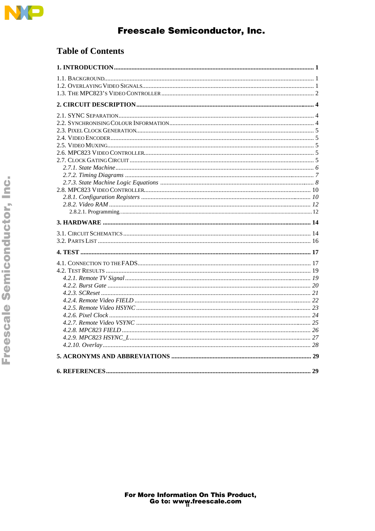

### **Table of Contents**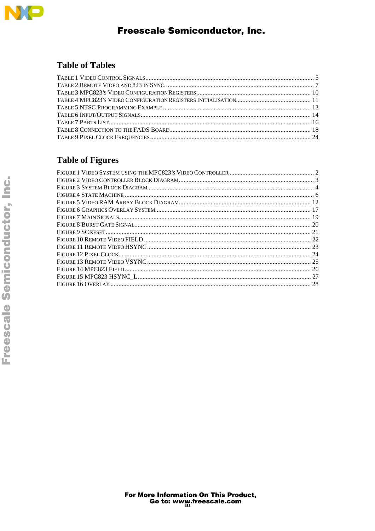

### **Table of Tables**

## **Table of Figures**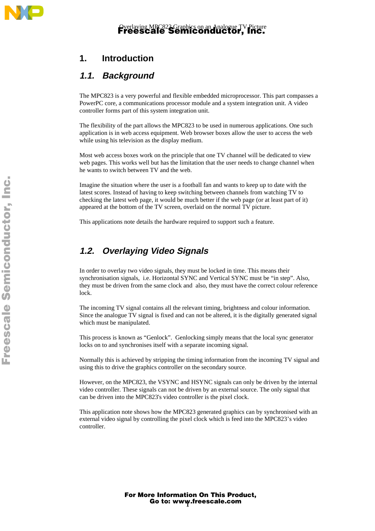## **1. Introduction**

### **1.1. Background**

The MPC823 is a very powerful and flexible embedded microprocessor. This part compasses a PowerPC core, a communications processor module and a system integration unit. A video controller forms part of this system integration unit.

The flexibility of the part allows the MPC823 to be used in numerous applications. One such application is in web access equipment. Web browser boxes allow the user to access the web while using his television as the display medium.

Most web access boxes work on the principle that one TV channel will be dedicated to view web pages. This works well but has the limitation that the user needs to change channel when he wants to switch between TV and the web.

Imagine the situation where the user is a football fan and wants to keep up to date with the latest scores. Instead of having to keep switching between channels from watching TV to checking the latest web page, it would be much better if the web page (or at least part of it) appeared at the bottom of the TV screen, overlaid on the normal TV picture.

This applications note details the hardware required to support such a feature.

### **1.2. Overlaying Video Signals**

In order to overlay two video signals, they must be locked in time. This means their synchronisation signals, i.e. Horizontal SYNC and Vertical SYNC must be "in step". Also, they must be driven from the same clock and also, they must have the correct colour reference lock.

The incoming TV signal contains all the relevant timing, brightness and colour information. Since the analogue TV signal is fixed and can not be altered, it is the digitally generated signal which must be manipulated.

This process is known as "Genlock". Genlocking simply means that the local sync generator locks on to and synchronises itself with a separate incoming signal.

Normally this is achieved by stripping the timing information from the incoming TV signal and using this to drive the graphics controller on the secondary source.

However, on the MPC823, the VSYNC and HSYNC signals can only be driven by the internal video controller. These signals can not be driven by an external source. The only signal that can be driven into the MPC823's video controller is the pixel clock.

This application note shows how the MPC823 generated graphics can by synchronised with an external video signal by controlling the pixel clock which is feed into the MPC823's video controller.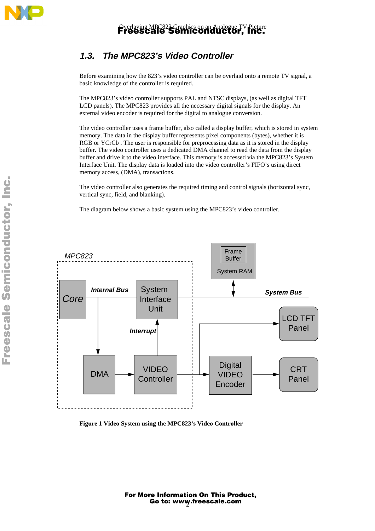

## **1.3. The MPC823's Video Controller**

Before examining how the 823's video controller can be overlaid onto a remote TV signal, a basic knowledge of the controller is required.

The MPC823's video controller supports PAL and NTSC displays, (as well as digital TFT LCD panels). The MPC823 provides all the necessary digital signals for the display. An external video encoder is required for the digital to analogue conversion.

The video controller uses a frame buffer, also called a display buffer, which is stored in system memory. The data in the display buffer represents pixel components (bytes), whether it is RGB or YCrCb . The user is responsible for preprocessing data as it is stored in the display buffer. The video controller uses a dedicated DMA channel to read the data from the display buffer and drive it to the video interface. This memory is accessed via the MPC823's System Interface Unit. The display data is loaded into the video controller's FIFO's using direct memory access, (DMA), transactions.

The video controller also generates the required timing and control signals (horizontal sync, vertical sync, field, and blanking).

The diagram below shows a basic system using the MPC823's video controller.



**Figure 1 Video System using the MPC823's Video Controller**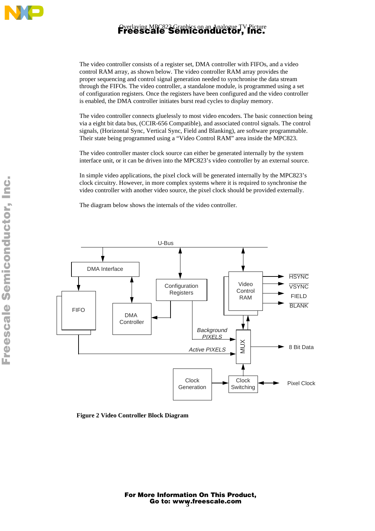

The video controller consists of a register set, DMA controller with FIFOs, and a video control RAM array, as shown below. The video controller RAM array provides the proper sequencing and control signal generation needed to synchronise the data stream through the FIFOs. The video controller, a standalone module, is programmed using a set of configuration registers. Once the registers have been configured and the video controller is enabled, the DMA controller initiates burst read cycles to display memory.

The video controller connects gluelessly to most video encoders. The basic connection being via a eight bit data bus, (CCIR-656 Compatible), and associated control signals. The control signals, (Horizontal Sync, Vertical Sync, Field and Blanking), are software programmable. Their state being programmed using a "Video Control RAM" area inside the MPC823.

The video controller master clock source can either be generated internally by the system interface unit, or it can be driven into the MPC823's video controller by an external source.

In simple video applications, the pixel clock will be generated internally by the MPC823's clock circuitry. However, in more complex systems where it is required to synchronise the video controller with another video source, the pixel clock should be provided externally.

The diagram below shows the internals of the video controller.



**Figure 2 Video Controller Block Diagram**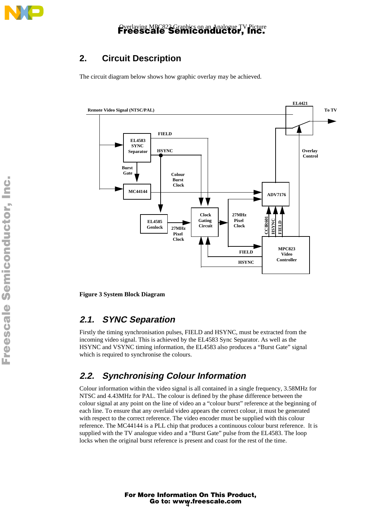

## **2. Circuit Description**

The circuit diagram below shows how graphic overlay may be achieved.



**Figure 3 System Block Diagram**

### **2.1. SYNC Separation**

Firstly the timing synchronisation pulses, FIELD and HSYNC, must be extracted from the incoming video signal. This is achieved by the EL4583 Sync Separator. As well as the HSYNC and VSYNC timing information, the EL4583 also produces a "Burst Gate" signal which is required to synchronise the colours.

### **2.2. Synchronising Colour Information**

Colour information within the video signal is all contained in a single frequency, 3.58MHz for NTSC and 4.43MHz for PAL. The colour is defined by the phase difference between the colour signal at any point on the line of video an a "colour burst" reference at the beginning of each line. To ensure that any overlaid video appears the correct colour, it must be generated with respect to the correct reference. The video encoder must be supplied with this colour reference. The MC44144 is a PLL chip that produces a continuous colour burst reference. It is supplied with the TV analogue video and a "Burst Gate" pulse from the EL4583. The loop locks when the original burst reference is present and coast for the rest of the time.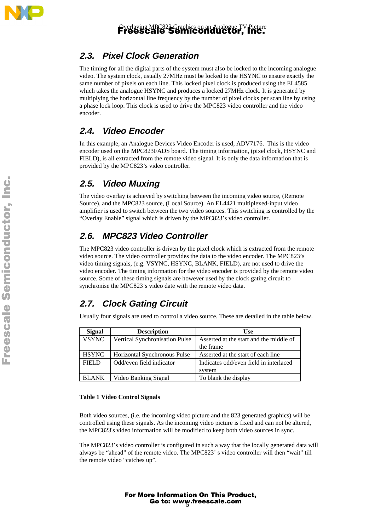

## **2.3. Pixel Clock Generation**

The timing for all the digital parts of the system must also be locked to the incoming analogue video. The system clock, usually 27MHz must be locked to the HSYNC to ensure exactly the same number of pixels on each line. This locked pixel clock is produced using the EL4585 which takes the analogue HSYNC and produces a locked 27MHz clock. It is generated by multiplying the horizontal line frequency by the number of pixel clocks per scan line by using a phase lock loop. This clock is used to drive the MPC823 video controller and the video encoder.

### **2.4. Video Encoder**

In this example, an Analogue Devices Video Encoder is used, ADV7176. This is the video encoder used on the MPC823FADS board. The timing information, (pixel clock, HSYNC and FIELD), is all extracted from the remote video signal. It is only the data information that is provided by the MPC823's video controller.

## **2.5. Video Muxing**

The video overlay is achieved by switching between the incoming video source, (Remote Source), and the MPC823 source, (Local Source). An EL4421 multiplexed-input video amplifier is used to switch between the two video sources. This switching is controlled by the "Overlay Enable" signal which is driven by the MPC823's video controller.

## **2.6. MPC823 Video Controller**

The MPC823 video controller is driven by the pixel clock which is extracted from the remote video source. The video controller provides the data to the video encoder. The MPC823's video timing signals, (e.g. VSYNC, HSYNC, BLANK, FIELD), are not used to drive the video encoder. The timing information for the video encoder is provided by the remote video source. Some of these timing signals are however used by the clock gating circuit to synchronise the MPC823's video date with the remote video data.

## **2.7. Clock Gating Circuit**

Usually four signals are used to control a video source. These are detailed in the table below.

| <b>Signal</b> | <b>Description</b>             | <b>Use</b>                                       |
|---------------|--------------------------------|--------------------------------------------------|
| <b>VSYNC</b>  | Vertical Synchronisation Pulse | Asserted at the start and the middle of          |
|               |                                | the frame                                        |
| <b>HSYNC</b>  | Horizontal Synchronous Pulse   | Asserted at the start of each line               |
| FIELD         | Odd/even field indicator       | Indicates odd/even field in interlaced<br>system |
| <b>BLANK</b>  | Video Banking Signal           | To blank the display                             |

#### **Table 1 Video Control Signals**

Both video sources, (i.e. the incoming video picture and the 823 generated graphics) will be controlled using these signals. As the incoming video picture is fixed and can not be altered, the MPC823's video information will be modified to keep both video sources in sync.

The MPC823's video controller is configured in such a way that the locally generated data will always be "ahead" of the remote video. The MPC823' s video controller will then "wait" till the remote video "catches up".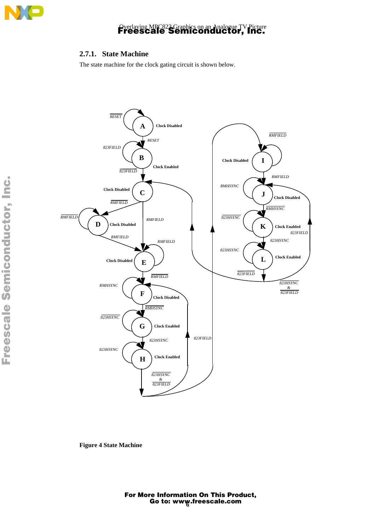

### **2.7.1. State Machine**

The state machine for the clock gating circuit is shown below.



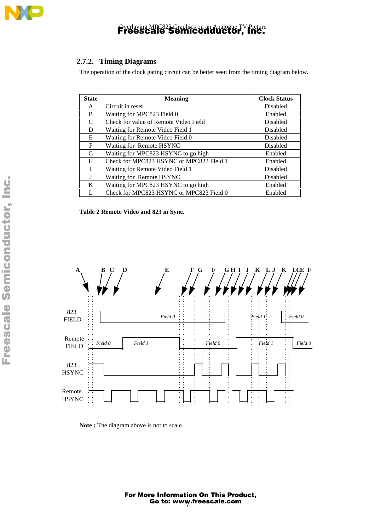

### **2.7.2. Timing Diagrams**

The operation of the clock gating circuit can be better seen from the timing diagram below.

| <b>State</b> | <b>Meaning</b>                                 | <b>Clock Status</b> |
|--------------|------------------------------------------------|---------------------|
| A            | Circuit in reset                               | Disabled            |
| B            | Waiting for MPC823 Field 0                     | Enabled             |
| C            | Check for value of Remote Video Field          | Disabled            |
| D            | Waiting for Remote Video Field 1               | Disabled            |
| E.           | Waiting for Remote Video Field 0               | Disabled            |
| F            | Waiting for Remote HSYNC                       | Disabled            |
| G            | Waiting for MPC823 HSYNC to go high<br>Enabled |                     |
| H            | Check for MPC823 HSYNC or MPC823 Field 1       | Enabled             |
|              | Waiting for Remote Video Field 1               | Disabled            |
| J            | Waiting for Remote HSYNC<br>Disabled           |                     |
| K            | Waiting for MPC823 HSYNC to go high            | Enabled             |
| L            | Check for MPC823 HSYNC or MPC823 Field 0       | Enabled             |

**Table 2 Remote Video and 823 in Sync.**



**Note :** The diagram above is not to scale.

 $\mathbf 0$ t o

r, I

n

.<br>ق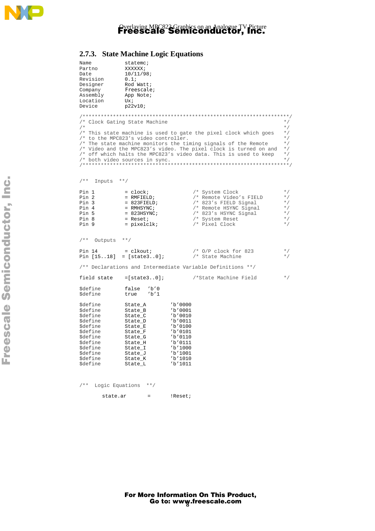

### **2.7.3. State Machine Logic Equations**

| Name                               | statemc;                             |                          |                                                                   |           |
|------------------------------------|--------------------------------------|--------------------------|-------------------------------------------------------------------|-----------|
| Partno                             | XXXXXX;                              |                          |                                                                   |           |
| Date                               | 10/11/98;                            |                          |                                                                   |           |
| Revision                           | 0.1i                                 |                          |                                                                   |           |
| Designer                           | Rod Watt;                            |                          |                                                                   |           |
| Company                            | Freescale;                           |                          |                                                                   |           |
| Assembly                           | App Note;                            |                          |                                                                   |           |
| Location<br>Device                 | Ux;                                  |                          |                                                                   |           |
|                                    | p22v10;                              |                          |                                                                   |           |
|                                    |                                      |                          |                                                                   |           |
|                                    | /* Clock Gating State Machine        |                          |                                                                   | $*$ /     |
| $/$ *                              |                                      |                          |                                                                   | $\star$ / |
|                                    |                                      |                          | /* This state machine is used to gate the pixel clock which goes  | $*$ /     |
|                                    | /* to the MPC823's video controller. |                          |                                                                   | $*$ /     |
|                                    |                                      |                          | /* The state machine monitors the timing signals of the Remote    | $*$ /     |
|                                    |                                      |                          | /* Video and the MPC823's video. The pixel clock is turned on and | $*$ /     |
|                                    |                                      |                          | /* off which halts the MPC823's video data. This is used to keep  | $*$ /     |
|                                    | /* both video sources in sync.       |                          |                                                                   | $*$ /     |
|                                    |                                      |                          |                                                                   |           |
|                                    |                                      |                          |                                                                   |           |
| $/ * *$<br>Inputs **/              |                                      |                          |                                                                   |           |
|                                    |                                      |                          |                                                                   |           |
| Pin 1                              | $=$ clock;                           |                          | /* System Clock                                                   | $*$ /     |
| Pin 2                              | $=$ RMFIELD;                         |                          | /* Remote Video's FIELD                                           | $*$ /     |
| Pin 3                              | $= 823$ FIELD;                       |                          | $/*$ 823's FIELD Signal                                           | $\star$ / |
| Pin 4                              | = RMHSYNC;                           |                          | /* Remote HSYNC Signal                                            | $*$ /     |
| Pin 5                              | $= 823$ HSYNC;                       |                          | /* 823's HSYNC Signal                                             | $*$ /     |
| Pin 8                              | $=$ Reset;                           |                          | /* System Reset                                                   | $*$ /     |
| Pin 9                              | $=$ pixelclk;                        |                          | /* Pixel Clock                                                    | $*$ /     |
|                                    |                                      |                          |                                                                   |           |
| /**<br>Outputs **/                 |                                      |                          |                                                                   |           |
|                                    |                                      |                          |                                                                   |           |
| Pin 14                             | $=$ clkout;                          |                          | $/*$ O/P clock for 823                                            | $*$ /     |
|                                    | Pin $[1518] = [state30]$ ;           |                          | /* State Machine                                                  | $\star$ / |
|                                    |                                      |                          | /** Declarations and Intermediate Variable Definitions **/        |           |
| field state                        | $=[state30]$ ;                       |                          | /*State Machine Field                                             | $*$ /     |
|                                    |                                      |                          |                                                                   |           |
| \$define                           | false<br>$'$ b'0                     |                          |                                                                   |           |
| Sdefine                            | b'1<br>true                          |                          |                                                                   |           |
|                                    |                                      |                          |                                                                   |           |
| Sdefine                            | State_A                              | $'$ b'0000               |                                                                   |           |
| \$define                           | State_B                              | 'b'0001                  |                                                                   |           |
| \$define                           | State_C                              | $'$ b'0010               |                                                                   |           |
| <i><b>\$define</b></i><br>\$define | State_D<br>State_E                   | $'$ b'0011<br>$'$ b'0100 |                                                                   |           |
| \$define                           | State_F                              | $'$ b'0101               |                                                                   |           |
| <i><b>\$define</b></i>             | State_G                              | $'$ b'0110               |                                                                   |           |
| <i><b>\$define</b></i>             | State_H                              | $'$ b'0111               |                                                                   |           |
| <i><b>\$define</b></i>             | State_I                              | 'b'1000                  |                                                                   |           |
| \$define                           | State_J                              | b'1001'                  |                                                                   |           |
| <i><b>\$define</b></i>             | State_K                              | b'1010'                  |                                                                   |           |
| \$define                           | State_L                              | 'b'1011                  |                                                                   |           |
|                                    |                                      |                          |                                                                   |           |
|                                    |                                      |                          |                                                                   |           |
| $1 * *$<br>Logic Equations         | $**/$                                |                          |                                                                   |           |
|                                    |                                      |                          |                                                                   |           |

t o

r, I n

.<br>ق

state.ar = !Reset;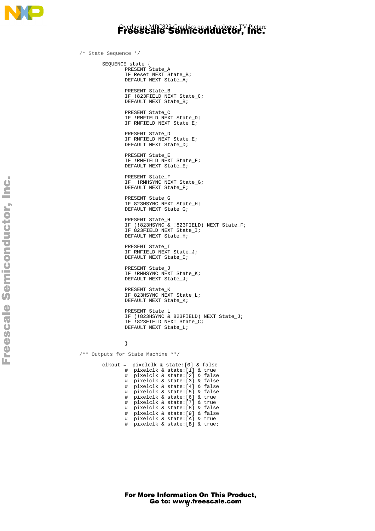

/\* State Sequence \*/ SEQUENCE state { PRESENT State\_A IF Reset NEXT State\_B; DEFAULT NEXT State\_A; PRESENT State\_B IF !823FIELD NEXT State\_C; DEFAULT NEXT State\_B; PRESENT State\_C IF !RMFIELD NEXT State\_D; IF RMFIELD NEXT State\_E; PRESENT State\_D IF RMFIELD NEXT State\_E; DEFAULT NEXT State\_D; PRESENT State\_E IF !RMFIELD NEXT State\_F; DEFAULT NEXT State\_E; PRESENT State\_F IF !RMHSYNC NEXT State\_G; DEFAULT NEXT State\_F; PRESENT State\_G IF 823HSYNC NEXT State\_H; DEFAULT NEXT State\_G; PRESENT State\_H IF (!823HSYNC & !823FIELD) NEXT State\_F; IF 823FIELD NEXT State\_I; DEFAULT NEXT State\_H; PRESENT State\_I IF RMFIELD NEXT State\_J; DEFAULT NEXT State\_I; PRESENT State\_J IF !RMHSYNC NEXT State\_K; DEFAULT NEXT State\_J; PRESENT State\_K IF 823HSYNC NEXT State\_L; DEFAULT NEXT State\_K; PRESENT State\_L IF (!823HSYNC & 823FIELD) NEXT State\_J; IF !823FIELD NEXT State\_C; DEFAULT NEXT State\_L; } /\*\* Outputs for State Machine \*\*/ clkout = pixelclk & state:[0] & false # pixelclk & state:[1] & true # pixelclk & state:[2] & false # pixelclk & state:[3] & false # pixelclk & state:[4] & false # pixelclk & state:[5] & false

> # pixelclk & state:[7] & true # pixelclk & state:[8] & false # pixelclk & state:[9] & false # pixelclk & state:[A] & true # pixelclk & state:[B] & true;

# pixelclk & state:[6] & true

 $\blacksquare$ d  $\overline{\phantom{a}}$  $\mathbf 0$ t o

r, I

n

.<br>ق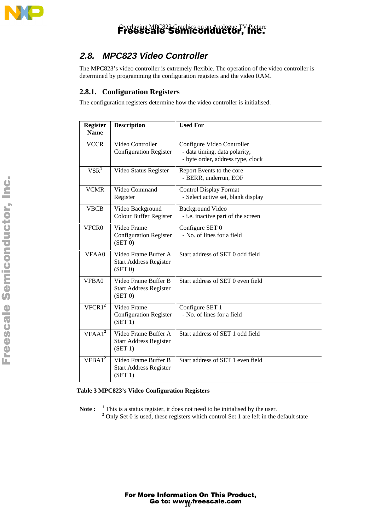

## **2.8. MPC823 Video Controller**

The MPC823's video controller is extremely flexible. The operation of the video controller is determined by programming the configuration registers and the video RAM.

### **2.8.1. Configuration Registers**

The configuration registers determine how the video controller is initialised.

| <b>Register</b><br><b>Name</b> | <b>Description</b>                                               | <b>Used For</b>                                                                                  |
|--------------------------------|------------------------------------------------------------------|--------------------------------------------------------------------------------------------------|
|                                |                                                                  |                                                                                                  |
| <b>VCCR</b>                    | Video Controller<br><b>Configuration Register</b>                | Configure Video Controller<br>- data timing, data polarity,<br>- byte order, address type, clock |
| $V\overline{SR}^1$             | Video Status Register                                            | Report Events to the core<br>- BERR, underrun, EOF                                               |
| <b>VCMR</b>                    | Video Command<br>Register                                        | <b>Control Display Format</b><br>- Select active set, blank display                              |
| <b>VBCB</b>                    | Video Background<br><b>Colour Buffer Register</b>                | <b>Background Video</b><br>- i.e. inactive part of the screen                                    |
| VFCR0                          | Video Frame<br><b>Configuration Register</b><br>(SET 0)          | Configure SET 0<br>- No. of lines for a field                                                    |
| VFAA0                          | Video Frame Buffer A<br><b>Start Address Register</b><br>(SET 0) | Start address of SET 0 odd field                                                                 |
| VFBA0                          | Video Frame Buffer B<br><b>Start Address Register</b><br>(SET 0) | Start address of SET 0 even field                                                                |
| VFCR1 <sup>2</sup>             | Video Frame<br><b>Configuration Register</b><br>(SET 1)          | Configure SET 1<br>- No. of lines for a field                                                    |
| VFAA1 <sup>2</sup>             | Video Frame Buffer A<br><b>Start Address Register</b><br>(SET 1) | Start address of SET 1 odd field                                                                 |
| $VFBA1^2$                      | Video Frame Buffer B<br><b>Start Address Register</b><br>(SET 1) | Start address of SET 1 even field                                                                |

**Table 3 MPC823's Video Configuration Registers**

Note : <sup>1</sup> This is a status register, it does not need to be initialised by the user.

**<sup>2</sup>** Only Set 0 is used, these registers which control Set 1 are left in the default state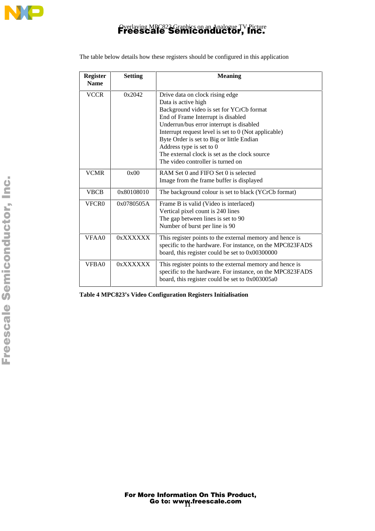

| <b>Register</b><br><b>Name</b> | Setting    | <b>Meaning</b>                                                                                                                                                                                                                                                                                                                                                                                              |
|--------------------------------|------------|-------------------------------------------------------------------------------------------------------------------------------------------------------------------------------------------------------------------------------------------------------------------------------------------------------------------------------------------------------------------------------------------------------------|
| <b>VCCR</b>                    | 0x2042     | Drive data on clock rising edge<br>Data is active high<br>Background video is set for YCrCb format<br>End of Frame Interrupt is disabled<br>Underrun/bus error interrupt is disabled<br>Interrupt request level is set to 0 (Not applicable)<br>Byte Order is set to Big or little Endian<br>Address type is set to 0<br>The external clock is set as the clock source<br>The video controller is turned on |
| <b>VCMR</b>                    | 0x00       | RAM Set 0 and FIFO Set 0 is selected<br>Image from the frame buffer is displayed                                                                                                                                                                                                                                                                                                                            |
| <b>VBCB</b>                    | 0x80108010 | The background colour is set to black (YCrCb format)                                                                                                                                                                                                                                                                                                                                                        |
| VFCR <sub>0</sub>              | 0x0780505A | Frame B is valid (Video is interlaced)<br>Vertical pixel count is 240 lines<br>The gap between lines is set to 90<br>Number of burst per line is 90                                                                                                                                                                                                                                                         |
| VFAA0                          | 0xXXXXXX   | This register points to the external memory and hence is<br>specific to the hardware. For instance, on the MPC823FADS<br>board, this register could be set to 0x00300000                                                                                                                                                                                                                                    |
| VFBA0                          | 0xXXXXXX   | This register points to the external memory and hence is<br>specific to the hardware. For instance, on the MPC823FADS<br>board, this register could be set to 0x003005a0                                                                                                                                                                                                                                    |

The table below details how these registers should be configured in this application

**Table 4 MPC823's Video Configuration Registers Initialisation**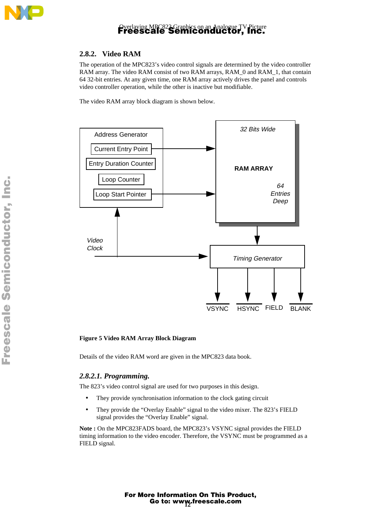

### **2.8.2. Video RAM**

The operation of the MPC823's video control signals are determined by the video controller RAM array. The video RAM consist of two RAM arrays, RAM\_0 and RAM\_1, that contain 64 32-bit entries. At any given time, one RAM array actively drives the panel and controls video controller operation, while the other is inactive but modifiable.

The video RAM array block diagram is shown below.



#### **Figure 5 Video RAM Array Block Diagram**

Details of the video RAM word are given in the MPC823 data book.

#### *2.8.2.1. Programming.*

The 823's video control signal are used for two purposes in this design.

- They provide synchronisation information to the clock gating circuit
- They provide the "Overlay Enable" signal to the video mixer. The 823's FIELD signal provides the "Overlay Enable" signal.

**Note :** On the MPC823FADS board, the MPC823's VSYNC signal provides the FIELD timing information to the video encoder. Therefore, the VSYNC must be programmed as a FIELD signal.

> Go to: www.freescale.com For More Information On This Product,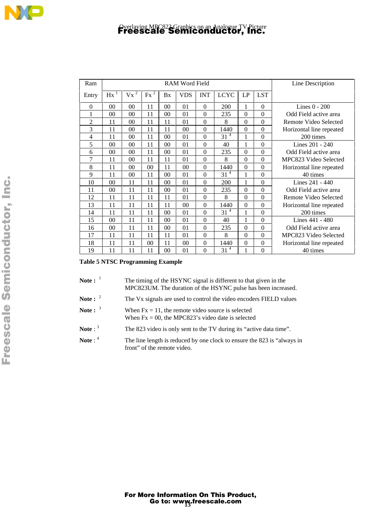| Ram      |                | RAM Word Field                     |        |                |                |                  |             |          | Line Description |                          |
|----------|----------------|------------------------------------|--------|----------------|----------------|------------------|-------------|----------|------------------|--------------------------|
| Entry    | Hx             | $\overline{\mathbf{c}}$<br>$V_{X}$ | $Fx^2$ | Bx             | <b>VDS</b>     | <b>INT</b>       | <b>LCYC</b> | LP       | <b>LST</b>       |                          |
| $\theta$ | 0 <sup>0</sup> | 0 <sup>0</sup>                     | 11     | 0 <sup>0</sup> | 01             | $\theta$         | 200         | 1        | $\theta$         | Lines $0 - 200$          |
| 1        | 00             | 00                                 | 11     | 00             | 01             | $\theta$         | 235         | $\theta$ | $\theta$         | Odd Field active area    |
| 2        | 11             | 00                                 | 11     | 11             | 01             | $\theta$         | 8           | 0        | $\theta$         | Remote Video Selected    |
| 3        | 11             | 00                                 | 11     | 11             | 0 <sup>0</sup> | $\theta$         | 1440        | $\Omega$ | $\Omega$         | Horizontal line repeated |
| 4        | 11             | 00                                 | 11     | 0 <sup>0</sup> | 01             | $\theta$         | $31^{4}$    | 1        | $\Omega$         | 200 times                |
| 5        | 0 <sub>0</sub> | $00\,$                             | 11     | 00             | 01             | $\theta$         | 40          | 1        | $\Omega$         | Lines 201 - 240          |
| 6        | 00             | 00                                 | 11     | 00             | 01             | $\boldsymbol{0}$ | 235         | 0        | $\theta$         | Odd Field active area    |
| 7        | 11             | 00                                 | 11     | 11             | 0 <sub>1</sub> | $\boldsymbol{0}$ | 8           | 0        | $\theta$         | MPC823 Video Selected    |
| 8        | 11             | 00                                 | 00     | 11             | 0 <sup>0</sup> | $\overline{0}$   | 1440        | $\Omega$ | $\Omega$         | Horizontal line repeated |
| 9        | 11             | 0 <sup>0</sup>                     | 11     | 0 <sup>0</sup> | 01             | $\theta$         | $31^{4}$    | 1        | $\theta$         | 40 times                 |
| 10       | 0 <sup>0</sup> | 11                                 | 11     | 0 <sup>0</sup> | 01             | $\theta$         | 200         | 1        | $\Omega$         | Lines $241 - 440$        |
| 11       | 00             | 11                                 | 11     | 00             | 01             | $\theta$         | 235         | 0        | $\theta$         | Odd Field active area    |
| 12       | 11             | 11                                 | 11     | 11             | 01             | $\theta$         | 8           | $\theta$ | $\theta$         | Remote Video Selected    |
| 13       | 11             | 11                                 | 11     | 11             | 0 <sup>0</sup> | $\theta$         | 1440        | 0        | $\theta$         | Horizontal line repeated |
| 14       | 11             | 11                                 | 11     | 0 <sup>0</sup> | 01             | $\theta$         | $31^{4}$    | 1        | $\Omega$         | 200 times                |
| 15       | 0 <sub>0</sub> | 11                                 | 11     | 00             | 01             | $\theta$         | 40          | 1        | $\theta$         | Lines $441 - 480$        |
| 16       | 00             | 11                                 | 11     | 00             | 01             | $\theta$         | 235         | 0        | $\theta$         | Odd Field active area    |
| 17       | 11             | 11                                 | 11     | 11             | 01             | $\theta$         | 8           | $\theta$ | $\theta$         | MPC823 Video Selected    |
| 18       | 11             | 11                                 | 00     | 11             | 00             | $\theta$         | 1440        | 0        | $\theta$         | Horizontal line repeated |
| 19       | 11             | 11                                 | 11     | 00             | 01             | 0                | 4<br>31     |          | $\Omega$         | 40 times                 |

#### **Table 5 NTSC Programming Example**

| Note: $1$         | The timing of the HSYNC signal is different to that given in the<br>MPC823UM. The duration of the HSYNC pulse has been increased. |
|-------------------|-----------------------------------------------------------------------------------------------------------------------------------|
| Note : $2^2$      | The V <sub>x</sub> signals are used to control the video encoders FIELD values                                                    |
| Note: $3^3$       | When $Fx = 11$ , the remote video source is selected<br>When $Fx = 00$ , the MPC823's video date is selected                      |
| Note: $3^{\circ}$ | The 823 video is only sent to the TV during its "active data time".                                                               |
| Note: $4^4$       | The line length is reduced by one clock to ensure the 823 is "always in<br>front" of the remote video.                            |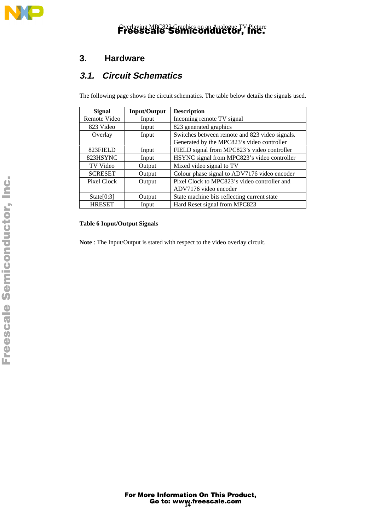

### **3. Hardware**

### **3.1. Circuit Schematics**

The following page shows the circuit schematics. The table below details the signals used.

| <b>Signal</b>  | <b>Input/Output</b> | <b>Description</b>                             |
|----------------|---------------------|------------------------------------------------|
| Remote Video   | Input               | Incoming remote TV signal                      |
| 823 Video      | Input               | 823 generated graphics                         |
| Overlay        | Input               | Switches between remote and 823 video signals. |
|                |                     | Generated by the MPC823's video controller     |
| 823FIELD       | Input               | FIELD signal from MPC823's video controller    |
| 823HSYNC       | Input               | HSYNC signal from MPC823's video controller    |
| TV Video       | Output              | Mixed video signal to TV                       |
| <b>SCRESET</b> | Output              | Colour phase signal to ADV7176 video encoder   |
| Pixel Clock    | Output              | Pixel Clock to MPC823's video controller and   |
|                |                     | ADV7176 video encoder                          |
| State[0:3]     | Output              | State machine bits reflecting current state    |
| <b>HRESET</b>  | Input               | Hard Reset signal from MPC823                  |

### **Table 6 Input/Output Signals**

**Note** : The Input/Output is stated with respect to the video overlay circuit.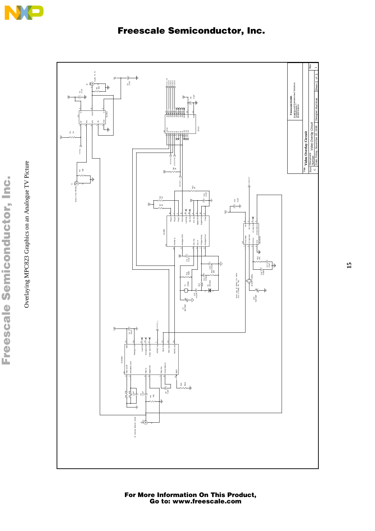



For More Information On This Product, Go to: www.freescale.com

**15**

Freescale Semiconductor, I Freescale Semiconductor, Inc. Overlaying MPC823 Graphics on an Analogue TV Picture Overlaying MPC823 Graphics on an Analogue TV Picture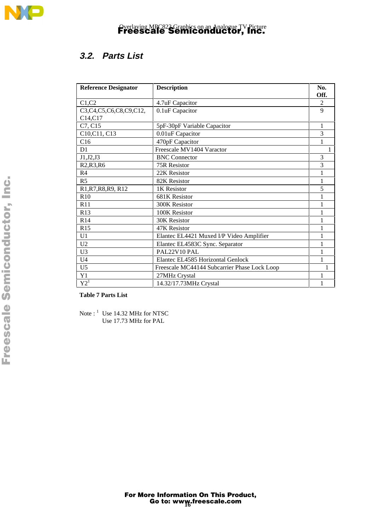

### **3.2. Parts List**

| <b>Reference Designator</b>                    | <b>Description</b>                           | No.       |
|------------------------------------------------|----------------------------------------------|-----------|
| C1, C2                                         | 4.7uF Capacitor                              | Off.<br>2 |
| C3,C4,C5,C6,C8,C9,C12,                         | 0.1uF Capacitor                              | 9         |
| C <sub>14</sub> ,C <sub>17</sub>               |                                              |           |
| C7, C15                                        | 5pF-30pF Variable Capacitor                  | 1         |
| C10, C11, C13                                  | 0.01uF Capacitor                             | 3         |
| C16                                            | 470pF Capacitor                              |           |
| D <sub>1</sub>                                 | Freescale MV1404 Varactor                    |           |
| J1, J2, J3                                     | <b>BNC</b> Connector                         | 3         |
| R <sub>2</sub> ,R <sub>3</sub> ,R <sub>6</sub> | <b>75R Resistor</b>                          | 3         |
| R <sub>4</sub>                                 | 22K Resistor                                 |           |
| R <sub>5</sub>                                 | 82K Resistor                                 | 1         |
| R1, R7, R8, R9, R12                            | 1K Resistor                                  | 5         |
| R <sub>10</sub>                                | 681K Resistor                                |           |
| R11                                            | 300K Resistor                                |           |
| R13                                            | 100K Resistor                                |           |
| R14                                            | <b>30K Resistor</b>                          |           |
| R15                                            | 47K Resistor                                 |           |
| U1                                             | Elantec EL4421 Muxed I/P Video Amplifier     |           |
| U <sub>2</sub>                                 | Elantec EL4583C Sync. Separator              |           |
| U <sub>3</sub>                                 | PAL22V10 PAL                                 | 1         |
| U <sub>4</sub>                                 | Elantec EL4585 Horizontal Genlock            | 1         |
| U <sub>5</sub>                                 | Freescale MC44144 Subcarrier Phase Lock Loop | 1         |
| Y1                                             | 27MHz Crystal                                |           |
| $\mathrm{Y2}^1$                                | 14.32/17.73MHz Crystal                       |           |

**Table 7 Parts List**

Note : <sup>1</sup> Use 14.32 MHz for NTSC Use 17.73 MHz for PAL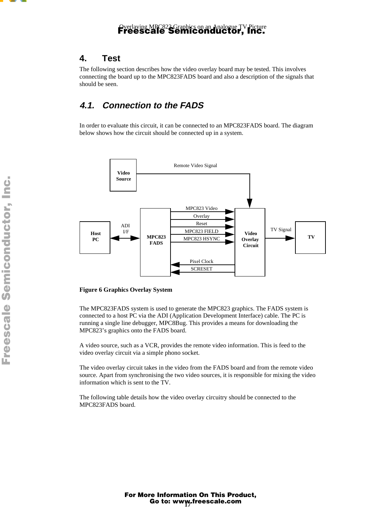### **4. Test**

The following section describes how the video overlay board may be tested. This involves connecting the board up to the MPC823FADS board and also a description of the signals that should be seen.

### **4.1. Connection to the FADS**

In order to evaluate this circuit, it can be connected to an MPC823FADS board. The diagram below shows how the circuit should be connected up in a system.



#### **Figure 6 Graphics Overlay System**

The MPC823FADS system is used to generate the MPC823 graphics. The FADS system is connected to a host PC via the ADI (Application Development Interface) cable. The PC is running a single line debugger, MPC8Bug. This provides a means for downloading the MPC823's graphics onto the FADS board.

A video source, such as a VCR, provides the remote video information. This is feed to the video overlay circuit via a simple phono socket.

The video overlay circuit takes in the video from the FADS board and from the remote video source. Apart from synchronising the two video sources, it is responsible for mixing the video information which is sent to the TV.

The following table details how the video overlay circuitry should be connected to the MPC823FADS board.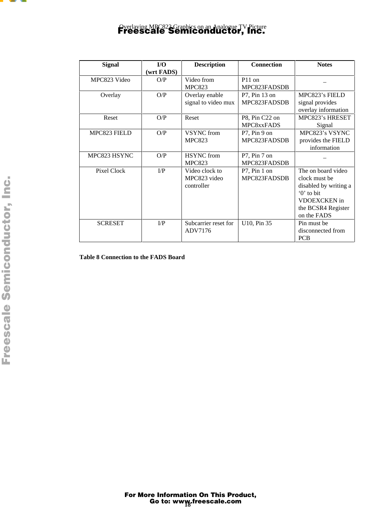

| <b>Signal</b>  | I/O        | <b>Description</b>   | <b>Connection</b> | <b>Notes</b>          |
|----------------|------------|----------------------|-------------------|-----------------------|
|                | (wrt FADS) |                      |                   |                       |
| MPC823 Video   | O/P        | Video from           | $P11$ on          |                       |
|                |            | <b>MPC823</b>        | MPC823FADSDB      |                       |
| Overlay        | O/P        | Overlay enable       | $P7$ , Pin 13 on  | MPC823's FIELD        |
|                |            | signal to video mux  | MPC823FADSDB      | signal provides       |
|                |            |                      |                   | overlay information   |
| Reset          | O/P        | Reset                | P8, Pin C22 on    | MPC823's HRESET       |
|                |            |                      | MPC8xxFADS        | Signal                |
| MPC823 FIELD   | O/P        | <b>VSYNC</b> from    | $P7$ , Pin 9 on   | MPC823's VSYNC        |
|                |            | <b>MPC823</b>        | MPC823FADSDB      | provides the FIELD    |
|                |            |                      |                   | information           |
| MPC823 HSYNC   | O/P        | <b>HSYNC</b> from    | $P7$ , Pin 7 on   |                       |
|                |            | <b>MPC823</b>        | MPC823FADSDB      |                       |
| Pixel Clock    | $\Gamma$   | Video clock to       | $P7$ , Pin 1 on   | The on board video    |
|                |            | MPC823 video         | MPC823FADSDB      | clock must be         |
|                |            | controller           |                   | disabled by writing a |
|                |            |                      |                   | $\theta$ to bit       |
|                |            |                      |                   | <b>VDOEXCKEN</b> in   |
|                |            |                      |                   | the BCSR4 Register    |
|                |            |                      |                   | on the FADS           |
| <b>SCRESET</b> | $\Gamma$   | Subcarrier reset for | U10, Pin 35       | Pin must be           |
|                |            | ADV7176              |                   | disconnected from     |
|                |            |                      |                   | <b>PCB</b>            |

**Table 8 Connection to the FADS Board**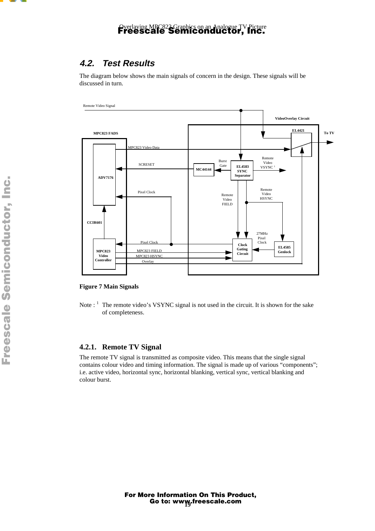### **4.2. Test Results**

The diagram below shows the main signals of concern in the design. These signals will be discussed in turn.



#### **Figure 7 Main Signals**

Note : <sup>1</sup> The remote video's VSYNC signal is not used in the circuit. It is shown for the sake of completeness.

#### **4.2.1. Remote TV Signal**

The remote TV signal is transmitted as composite video. This means that the single signal contains colour video and timing information. The signal is made up of various "components"; i.e. active video, horizontal sync, horizontal blanking, vertical sync, vertical blanking and colour burst.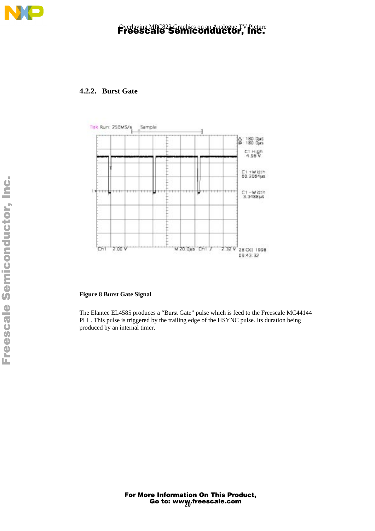

### **4.2.2. Burst Gate**



#### **Figure 8 Burst Gate Signal**

The Elantec EL4585 produces a "Burst Gate" pulse which is feed to the Freescale MC44144 PLL. This pulse is triggered by the trailing edge of the HSYNC pulse. Its duration being produced by an internal timer.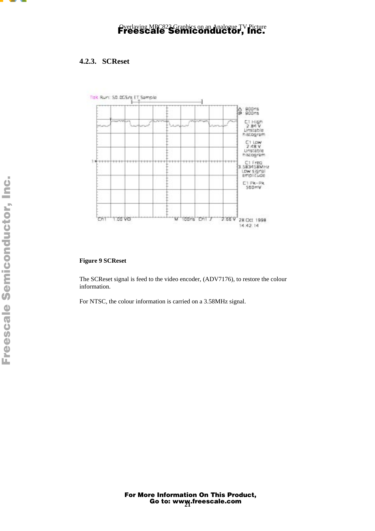

### **4.2.3. SCReset**



#### **Figure 9 SCReset**

The SCReset signal is feed to the video encoder, (ADV7176), to restore the colour information.

For NTSC, the colour information is carried on a 3.58MHz signal.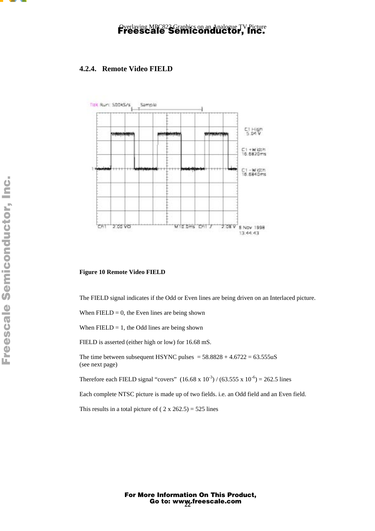### **4.2.4. Remote Video FIELD**



#### **Figure 10 Remote Video FIELD**

The FIELD signal indicates if the Odd or Even lines are being driven on an Interlaced picture.

When  $FIED = 0$ , the Even lines are being shown

When  $FIED = 1$ , the Odd lines are being shown

FIELD is asserted (either high or low) for 16.68 mS.

The time between subsequent HSYNC pulses =  $58.8828 + 4.6722 = 63.555uS$ (see next page)

Therefore each FIELD signal "covers"  $(16.68 \times 10^{-3}) / (63.555 \times 10^{-6}) = 262.5$  lines

Each complete NTSC picture is made up of two fields. i.e. an Odd field and an Even field.

This results in a total picture of  $(2 \times 262.5) = 525$  lines

 $\overline{\phantom{a}}$  $\mathbf 0$ t o

r, I

n

.<br>ق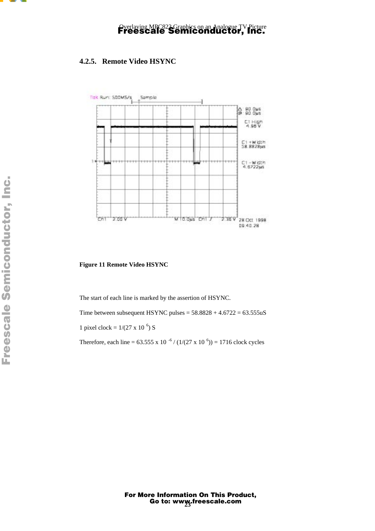

### **4.2.5. Remote Video HSYNC**



**Figure 11 Remote Video HSYNC**

The start of each line is marked by the assertion of HSYNC.

Time between subsequent HSYNC pulses =  $58.8828 + 4.6722 = 63.555uS$ 

1 pixel clock =  $1/(27 \times 10^{-6})$  S

Therefore, each line =  $63.555 \times 10^{-6} / (1/(27 \times 10^{-6})) = 1716$  clock cycles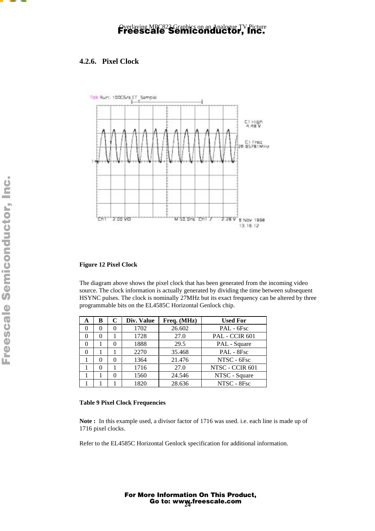

### **4.2.6. Pixel Clock**



#### **Figure 12 Pixel Clock**

The diagram above shows the pixel clock that has been generated from the incoming video source. The clock information is actually generated by dividing the time between subsequent HSYNC pulses. The clock is nominally 27MHz but its exact frequency can be altered by three programmable bits on the EL4585C Horizontal Genlock chip.

| A | B            | C            | Div. Value | Freq. (MHz) | <b>Used For</b> |
|---|--------------|--------------|------------|-------------|-----------------|
|   | $\mathbf{0}$ | $\mathbf{0}$ | 1702       | 26.602      | $PAL - 6Fsc$    |
|   | $\theta$     |              | 1728       | 27.0        | PAL - CCIR 601  |
|   |              | 0            | 1888       | 29.5        | PAL - Square    |
|   |              |              | 2270       | 35.468      | PAL - 8Fsc      |
|   |              | 0            | 1364       | 21.476      | NTSC - 6Fsc     |
|   |              |              | 1716       | 27.0        | NTSC - CCIR 601 |
|   |              | $\Omega$     | 1560       | 24.546      | NTSC - Square   |
|   |              |              | 1820       | 28.636      | NTSC - 8Fsc     |

#### **Table 9 Pixel Clock Frequencies**

**Note :** In this example used, a divisor factor of 1716 was used. i.e. each line is made up of 1716 pixel clocks.

Refer to the EL4585C Horizontal Genlock specification for additional information.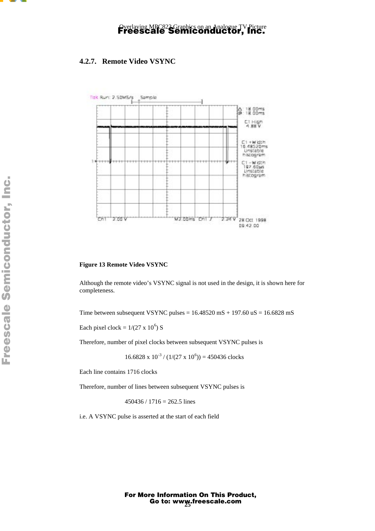

### **4.2.7. Remote Video VSYNC**



**Figure 13 Remote Video VSYNC**

Although the remote video's VSYNC signal is not used in the design, it is shown here for completeness.

Time between subsequent VSYNC pulses =  $16.48520$  mS + 197.60 uS =  $16.6828$  mS

Each pixel clock =  $1/(27 \times 10^6)$  S

Therefore, number of pixel clocks between subsequent VSYNC pulses is

 $16.6828 \times 10^{-3}$  /  $(1/(27 \times 10^{6})) = 450436$  clocks

Each line contains 1716 clocks

Therefore, number of lines between subsequent VSYNC pulses is

 $450436 / 1716 = 262.5$  lines

i.e. A VSYNC pulse is asserted at the start of each field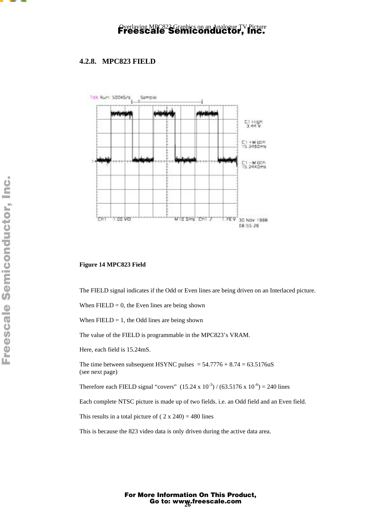

### **4.2.8. MPC823 FIELD**



#### **Figure 14 MPC823 Field**

The FIELD signal indicates if the Odd or Even lines are being driven on an Interlaced picture.

When  $FIELD = 0$ , the Even lines are being shown

When  $FIED = 1$ , the Odd lines are being shown

The value of the FIELD is programmable in the MPC823's VRAM.

Here, each field is 15.24mS.

The time between subsequent HSYNC pulses  $= 54.7776 + 8.74 = 63.5176$ uS (see next page)

Therefore each FIELD signal "covers"  $(15.24 \times 10^{-3}) / (63.5176 \times 10^{-6}) = 240$  lines

Each complete NTSC picture is made up of two fields. i.e. an Odd field and an Even field.

This results in a total picture of  $(2 \times 240) = 480$  lines

This is because the 823 video data is only driven during the active data area.

Go to: www.freescale.com For More Information On This Product,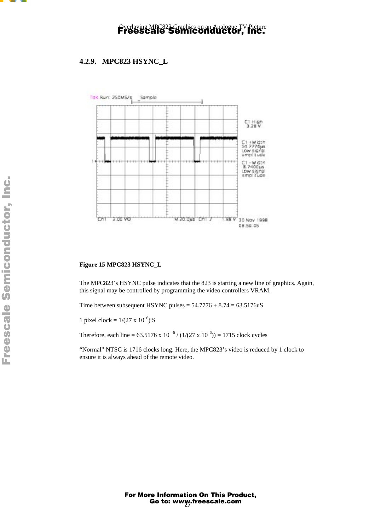

### **4.2.9. MPC823 HSYNC\_L**



#### **Figure 15 MPC823 HSYNC\_L**

The MPC823's HSYNC pulse indicates that the 823 is starting a new line of graphics. Again, this signal may be controlled by programming the video controllers VRAM.

Time between subsequent HSYNC pulses  $= 54.7776 + 8.74 = 63.5176$ uS

1 pixel clock =  $1/(27 \times 10^{-6})$  S

Therefore, each line =  $63.5176 \times 10^{-6} / (1/(27 \times 10^{-6})) = 1715$  clock cycles

"Normal" NTSC is 1716 clocks long. Here, the MPC823's video is reduced by 1 clock to ensure it is always ahead of the remote video.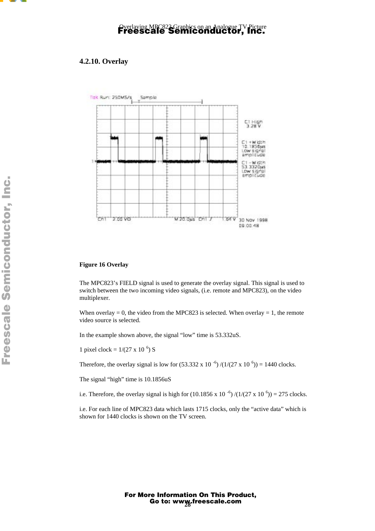

### **4.2.10. Overlay**



#### **Figure 16 Overlay**

The MPC823's FIELD signal is used to generate the overlay signal. This signal is used to switch between the two incoming video signals, (i.e. remote and MPC823), on the video multiplexer.

When overlay  $= 0$ , the video from the MPC823 is selected. When overlay  $= 1$ , the remote video source is selected.

In the example shown above, the signal "low" time is 53.332uS.

1 pixel clock =  $1/(27 \times 10^{-6})$  S

Therefore, the overlay signal is low for  $(53.332 \times 10^{-6})/(1/(27 \times 10^{-6})) = 1440$  clocks.

The signal "high" time is 10.1856uS

i.e. Therefore, the overlay signal is high for  $(10.1856 \times 10^{-6})/(1/(27 \times 10^{-6})) = 275$  clocks.

i.e. For each line of MPC823 data which lasts 1715 clocks, only the "active data" which is shown for 1440 clocks is shown on the TV screen.